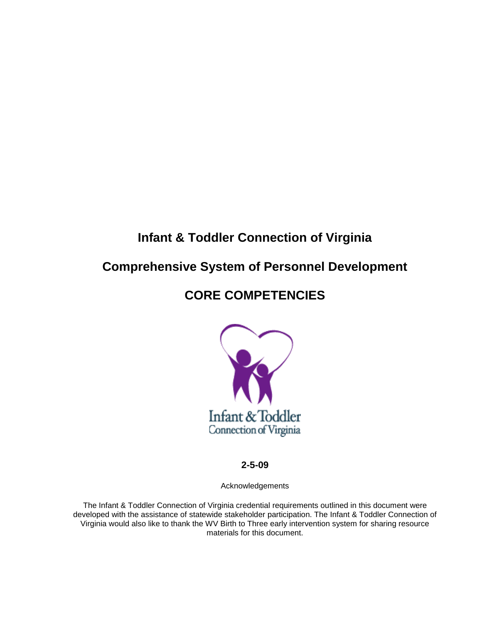# **Infant & Toddler Connection of Virginia**

# **Comprehensive System of Personnel Development**

# **CORE COMPETENCIES**



**2-5-09**

Acknowledgements

The Infant & Toddler Connection of Virginia credential requirements outlined in this document were developed with the assistance of statewide stakeholder participation. The Infant & Toddler Connection of Virginia would also like to thank the WV Birth to Three early intervention system for sharing resource materials for this document.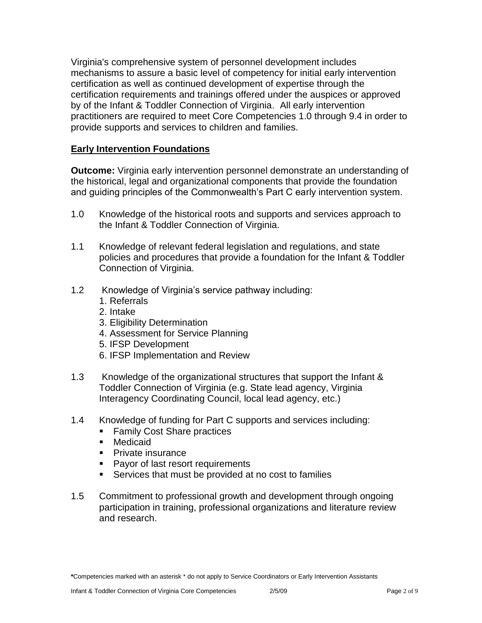Virginia's comprehensive system of personnel development includes mechanisms to assure a basic level of competency for initial early intervention certification as well as continued development of expertise through the certification requirements and trainings offered under the auspices or approved by of the Infant & Toddler Connection of Virginia. All early intervention practitioners are required to meet Core Competencies 1.0 through 9.4 in order to provide supports and services to children and families.

# **Early Intervention Foundations**

**Outcome:** Virginia early intervention personnel demonstrate an understanding of the historical, legal and organizational components that provide the foundation and guiding principles of the Commonwealth's Part C early intervention system.

- 1.0 Knowledge of the historical roots and supports and services approach to the Infant & Toddler Connection of Virginia.
- 1.1 Knowledge of relevant federal legislation and regulations, and state policies and procedures that provide a foundation for the Infant & Toddler Connection of Virginia.
- 1.2 Knowledge of Virginia's service pathway including:
	- 1. Referrals
	- 2. Intake
	- 3. Eligibility Determination
	- 4. Assessment for Service Planning
	- 5. IFSP Development
	- 6. IFSP Implementation and Review
- 1.3 Knowledge of the organizational structures that support the Infant & Toddler Connection of Virginia (e.g. State lead agency, Virginia Interagency Coordinating Council, local lead agency, etc.)
- 1.4 Knowledge of funding for Part C supports and services including:
	- **Family Cost Share practices**
	- Medicaid
	- **Private insurance**
	- **Payor of last resort requirements**
	- Services that must be provided at no cost to families
- 1.5 Commitment to professional growth and development through ongoing participation in training, professional organizations and literature review and research.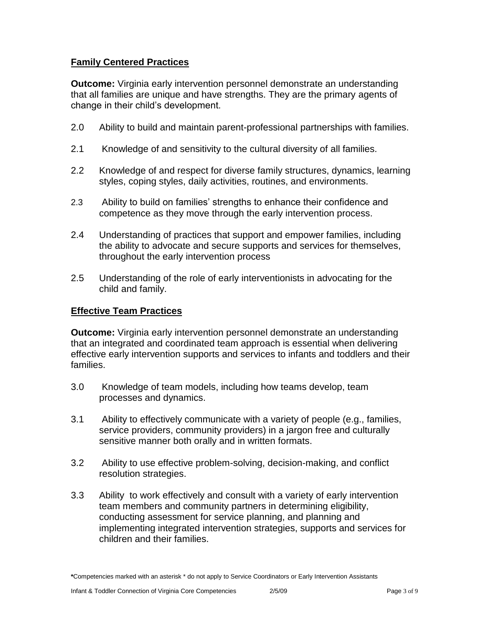# **Family Centered Practices**

**Outcome:** Virginia early intervention personnel demonstrate an understanding that all families are unique and have strengths. They are the primary agents of change in their child's development.

- 2.0 Ability to build and maintain parent-professional partnerships with families.
- 2.1 Knowledge of and sensitivity to the cultural diversity of all families.
- 2.2 Knowledge of and respect for diverse family structures, dynamics, learning styles, coping styles, daily activities, routines, and environments.
- 2.3 Ability to build on families' strengths to enhance their confidence and competence as they move through the early intervention process.
- 2.4 Understanding of practices that support and empower families, including the ability to advocate and secure supports and services for themselves, throughout the early intervention process
- 2.5 Understanding of the role of early interventionists in advocating for the child and family.

# **Effective Team Practices**

**Outcome:** Virginia early intervention personnel demonstrate an understanding that an integrated and coordinated team approach is essential when delivering effective early intervention supports and services to infants and toddlers and their families.

- 3.0 Knowledge of team models, including how teams develop, team processes and dynamics.
- 3.1 Ability to effectively communicate with a variety of people (e.g., families, service providers, community providers) in a jargon free and culturally sensitive manner both orally and in written formats.
- 3.2 Ability to use effective problem-solving, decision-making, and conflict resolution strategies.
- 3.3 Ability to work effectively and consult with a variety of early intervention team members and community partners in determining eligibility, conducting assessment for service planning, and planning and implementing integrated intervention strategies, supports and services for children and their families.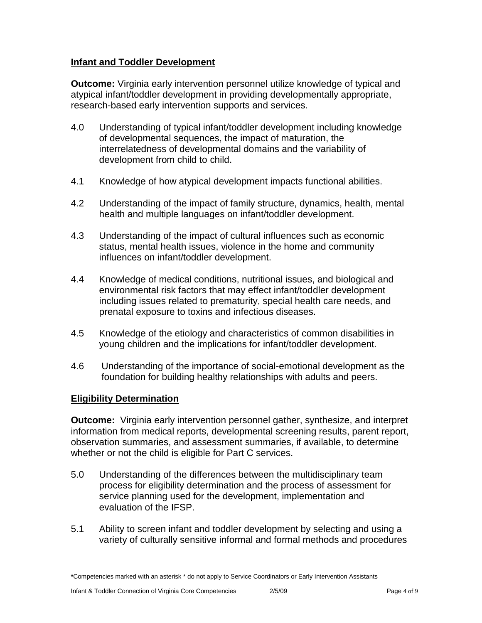# **Infant and Toddler Development**

**Outcome:** Virginia early intervention personnel utilize knowledge of typical and atypical infant/toddler development in providing developmentally appropriate, research-based early intervention supports and services.

- 4.0 Understanding of typical infant/toddler development including knowledge of developmental sequences, the impact of maturation, the interrelatedness of developmental domains and the variability of development from child to child.
- 4.1 Knowledge of how atypical development impacts functional abilities.
- 4.2 Understanding of the impact of family structure, dynamics, health, mental health and multiple languages on infant/toddler development.
- 4.3 Understanding of the impact of cultural influences such as economic status, mental health issues, violence in the home and community influences on infant/toddler development.
- 4.4 Knowledge of medical conditions, nutritional issues, and biological and environmental risk factors that may effect infant/toddler development including issues related to prematurity, special health care needs, and prenatal exposure to toxins and infectious diseases.
- 4.5 Knowledge of the etiology and characteristics of common disabilities in young children and the implications for infant/toddler development.
- 4.6 Understanding of the importance of social-emotional development as the foundation for building healthy relationships with adults and peers.

# **Eligibility Determination**

**Outcome:** Virginia early intervention personnel gather, synthesize, and interpret information from medical reports, developmental screening results, parent report, observation summaries, and assessment summaries, if available, to determine whether or not the child is eligible for Part C services.

- 5.0 Understanding of the differences between the multidisciplinary team process for eligibility determination and the process of assessment for service planning used for the development, implementation and evaluation of the IFSP.
- 5.1 Ability to screen infant and toddler development by selecting and using a variety of culturally sensitive informal and formal methods and procedures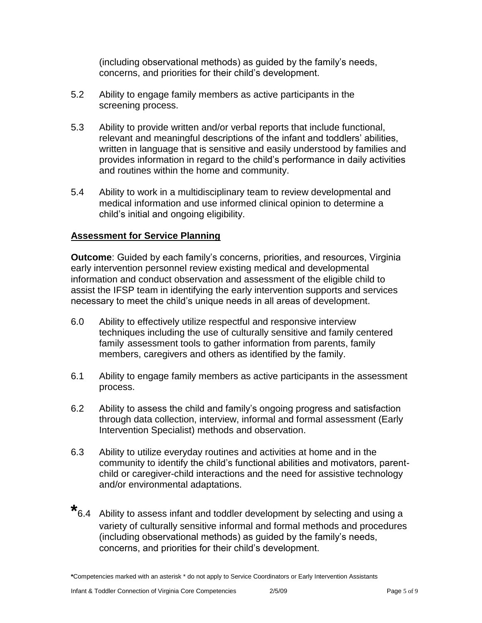(including observational methods) as guided by the family's needs, concerns, and priorities for their child's development.

- 5.2 Ability to engage family members as active participants in the screening process.
- 5.3 Ability to provide written and/or verbal reports that include functional, relevant and meaningful descriptions of the infant and toddlers' abilities, written in language that is sensitive and easily understood by families and provides information in regard to the child's performance in daily activities and routines within the home and community.
- 5.4 Ability to work in a multidisciplinary team to review developmental and medical information and use informed clinical opinion to determine a child's initial and ongoing eligibility.

# **Assessment for Service Planning**

**Outcome**: Guided by each family's concerns, priorities, and resources, Virginia early intervention personnel review existing medical and developmental information and conduct observation and assessment of the eligible child to assist the IFSP team in identifying the early intervention supports and services necessary to meet the child's unique needs in all areas of development.

- 6.0 Ability to effectively utilize respectful and responsive interview techniques including the use of culturally sensitive and family centered family assessment tools to gather information from parents, family members, caregivers and others as identified by the family.
- 6.1 Ability to engage family members as active participants in the assessment process.
- 6.2 Ability to assess the child and family's ongoing progress and satisfaction through data collection, interview, informal and formal assessment (Early Intervention Specialist) methods and observation.
- 6.3 Ability to utilize everyday routines and activities at home and in the community to identify the child's functional abilities and motivators, parentchild or caregiver-child interactions and the need for assistive technology and/or environmental adaptations.
- **\*** 6.4 Ability to assess infant and toddler development by selecting and using a variety of culturally sensitive informal and formal methods and procedures (including observational methods) as guided by the family's needs, concerns, and priorities for their child's development.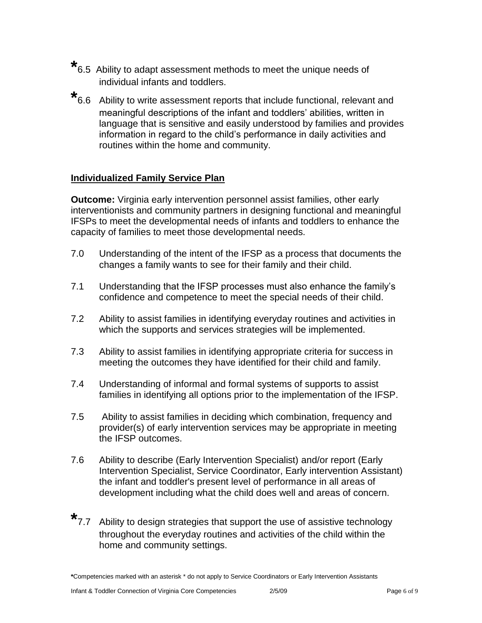- **\*** 6.5 Ability to adapt assessment methods to meet the unique needs of individual infants and toddlers.
- **\*** 6.6 Ability to write assessment reports that include functional, relevant and meaningful descriptions of the infant and toddlers' abilities, written in language that is sensitive and easily understood by families and provides information in regard to the child's performance in daily activities and routines within the home and community.

# **Individualized Family Service Plan**

**Outcome:** Virginia early intervention personnel assist families, other early interventionists and community partners in designing functional and meaningful IFSPs to meet the developmental needs of infants and toddlers to enhance the capacity of families to meet those developmental needs.

- 7.0 Understanding of the intent of the IFSP as a process that documents the changes a family wants to see for their family and their child.
- 7.1 Understanding that the IFSP processes must also enhance the family's confidence and competence to meet the special needs of their child.
- 7.2 Ability to assist families in identifying everyday routines and activities in which the supports and services strategies will be implemented.
- 7.3 Ability to assist families in identifying appropriate criteria for success in meeting the outcomes they have identified for their child and family.
- 7.4 Understanding of informal and formal systems of supports to assist families in identifying all options prior to the implementation of the IFSP.
- 7.5 Ability to assist families in deciding which combination, frequency and provider(s) of early intervention services may be appropriate in meeting the IFSP outcomes.
- 7.6 Ability to describe (Early Intervention Specialist) and/or report (Early Intervention Specialist, Service Coordinator, Early intervention Assistant) the infant and toddler's present level of performance in all areas of development including what the child does well and areas of concern.
- **\*** 7.7 Ability to design strategies that support the use of assistive technology throughout the everyday routines and activities of the child within the home and community settings.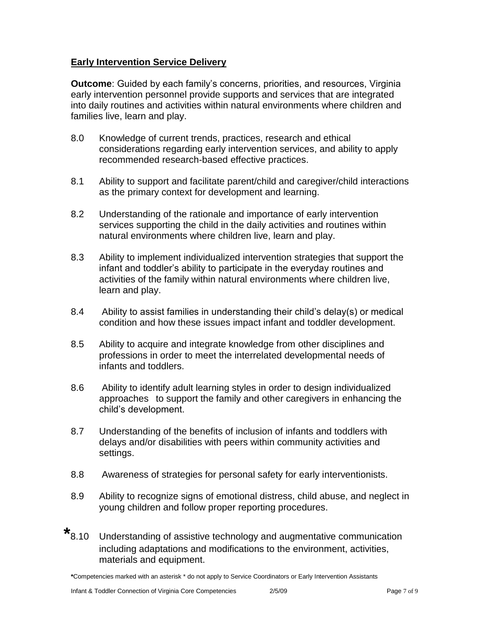# **Early Intervention Service Delivery**

**Outcome**: Guided by each family's concerns, priorities, and resources, Virginia early intervention personnel provide supports and services that are integrated into daily routines and activities within natural environments where children and families live, learn and play.

- 8.0 Knowledge of current trends, practices, research and ethical considerations regarding early intervention services, and ability to apply recommended research-based effective practices.
- 8.1 Ability to support and facilitate parent/child and caregiver/child interactions as the primary context for development and learning.
- 8.2 Understanding of the rationale and importance of early intervention services supporting the child in the daily activities and routines within natural environments where children live, learn and play.
- 8.3 Ability to implement individualized intervention strategies that support the infant and toddler's ability to participate in the everyday routines and activities of the family within natural environments where children live, learn and play.
- 8.4 Ability to assist families in understanding their child's delay(s) or medical condition and how these issues impact infant and toddler development.
- 8.5 Ability to acquire and integrate knowledge from other disciplines and professions in order to meet the interrelated developmental needs of infants and toddlers.
- 8.6 Ability to identify adult learning styles in order to design individualized approaches to support the family and other caregivers in enhancing the child's development.
- 8.7 Understanding of the benefits of inclusion of infants and toddlers with delays and/or disabilities with peers within community activities and settings.
- 8.8 Awareness of strategies for personal safety for early interventionists.
- 8.9 Ability to recognize signs of emotional distress, child abuse, and neglect in young children and follow proper reporting procedures.
- $*_{8.10}$ Understanding of assistive technology and augmentative communication including adaptations and modifications to the environment, activities, materials and equipment.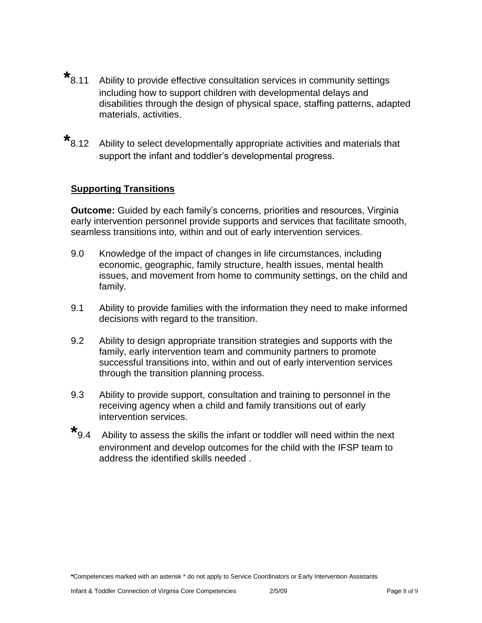- $*$ <sub>8.11</sub> Ability to provide effective consultation services in community settings including how to support children with developmental delays and disabilities through the design of physical space, staffing patterns, adapted materials, activities.
- **\*** 8.12 Ability to select developmentally appropriate activities and materials that support the infant and toddler's developmental progress.

# **Supporting Transitions**

**Outcome:** Guided by each family's concerns, priorities and resources, Virginia early intervention personnel provide supports and services that facilitate smooth, seamless transitions into, within and out of early intervention services.

- 9.0 Knowledge of the impact of changes in life circumstances, including economic, geographic, family structure, health issues, mental health issues, and movement from home to community settings, on the child and family.
- 9.1 Ability to provide families with the information they need to make informed decisions with regard to the transition.
- 9.2 Ability to design appropriate transition strategies and supports with the family, early intervention team and community partners to promote successful transitions into, within and out of early intervention services through the transition planning process.
- 9.3 Ability to provide support, consultation and training to personnel in the receiving agency when a child and family transitions out of early intervention services.
- **\*** 9.4 Ability to assess the skills the infant or toddler will need within the next environment and develop outcomes for the child with the IFSP team to address the identified skills needed .